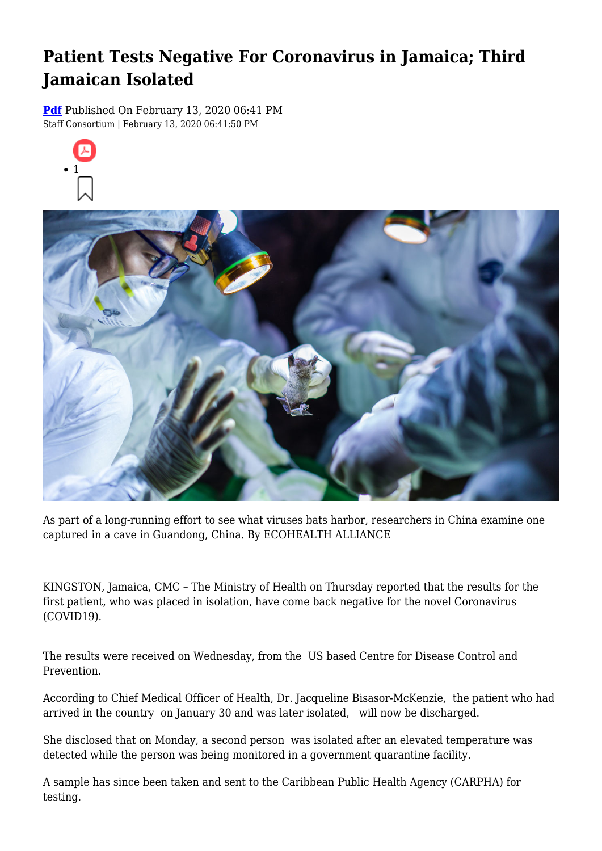# **Patient Tests Negative For Coronavirus in Jamaica; Third Jamaican Isolated**

**[Pdf](https://viconsortium.com/caribbean-pdf)** Published On February 13, 2020 06:41 PM Staff Consortium | February 13, 2020 06:41:50 PM





As part of a long-running effort to see what viruses bats harbor, researchers in China examine one captured in a cave in Guandong, China. By ECOHEALTH ALLIANCE

KINGSTON, Jamaica, CMC – The Ministry of Health on Thursday reported that the results for the first patient, who was placed in isolation, have come back negative for the novel Coronavirus (COVID19).

The results were received on Wednesday, from the US based Centre for Disease Control and Prevention.

According to Chief Medical Officer of Health, Dr. Jacqueline Bisasor-McKenzie, the patient who had arrived in the country on January 30 and was later isolated, will now be discharged.

She disclosed that on Monday, a second person was isolated after an elevated temperature was detected while the person was being monitored in a government quarantine facility.

A sample has since been taken and sent to the Caribbean Public Health Agency (CARPHA) for testing.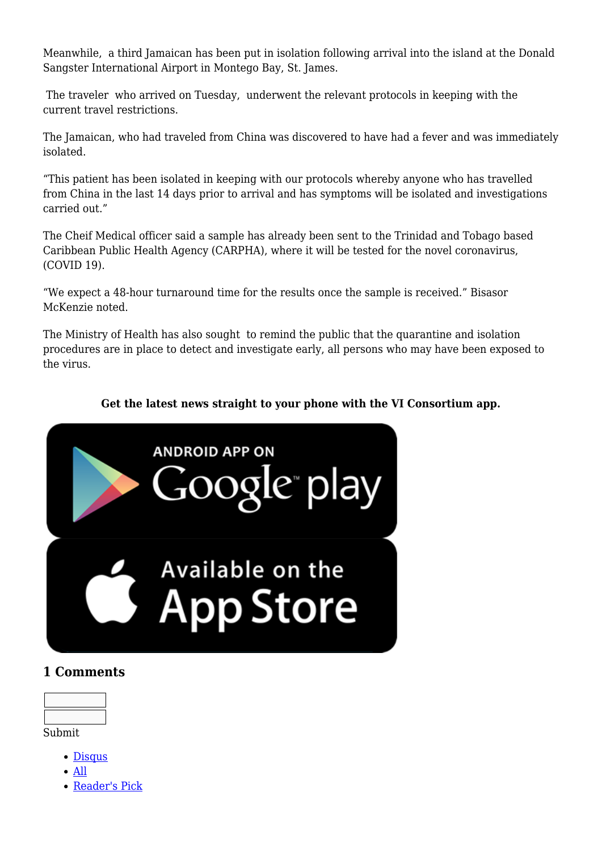Meanwhile, a third Jamaican has been put in isolation following arrival into the island at the Donald Sangster International Airport in Montego Bay, St. James.

 The traveler who arrived on Tuesday, underwent the relevant protocols in keeping with the current travel restrictions.

The Jamaican, who had traveled from China was discovered to have had a fever and was immediately isolated.

"This patient has been isolated in keeping with our protocols whereby anyone who has travelled from China in the last 14 days prior to arrival and has symptoms will be isolated and investigations carried out."

The Cheif Medical officer said a sample has already been sent to the Trinidad and Tobago based Caribbean Public Health Agency (CARPHA), where it will be tested for the novel coronavirus, (COVID 19).

"We expect a 48-hour turnaround time for the results once the sample is received." Bisasor McKenzie noted.

The Ministry of Health has also sought to remind the public that the quarantine and isolation procedures are in place to detect and investigate early, all persons who may have been exposed to the virus.

### **Get the latest news straight to your phone with the VI Consortium app.**



## **1 Comments**

Submit

- [Disqus](#page--1-0)
- [All](#page--1-0)
- [Reader's Pick](#page--1-0)